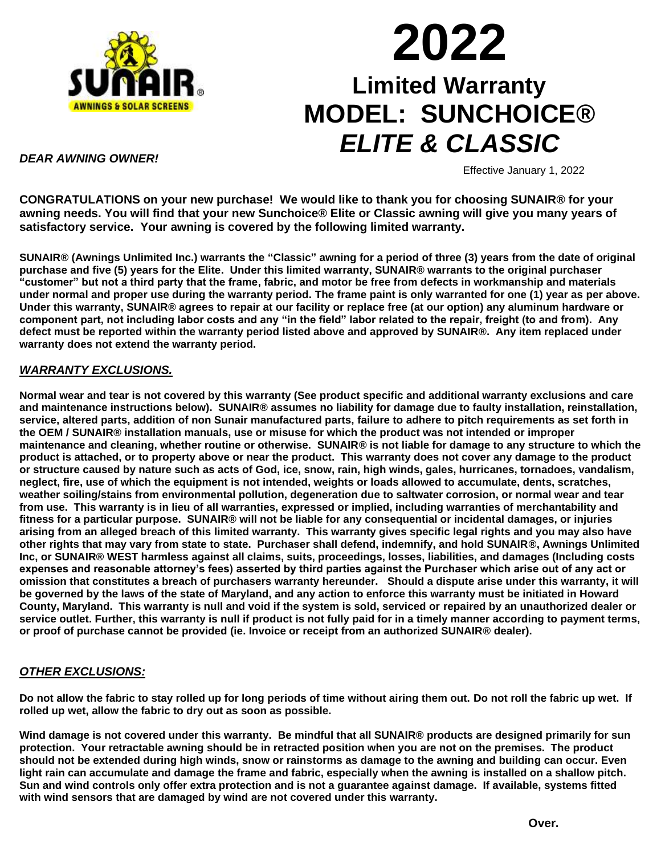

# **2022 Limited Warranty MODEL: SUNCHOICE®** *ELITE & CLASSIC*

#### *DEAR AWNING OWNER!*

Effective January 1, 2022

**CONGRATULATIONS on your new purchase! We would like to thank you for choosing SUNAIR® for your awning needs. You will find that your new Sunchoice® Elite or Classic awning will give you many years of satisfactory service. Your awning is covered by the following limited warranty.**

**SUNAIR® (Awnings Unlimited Inc.) warrants the "Classic" awning for a period of three (3) years from the date of original purchase and five (5) years for the Elite. Under this limited warranty, SUNAIR® warrants to the original purchaser "customer" but not a third party that the frame, fabric, and motor be free from defects in workmanship and materials under normal and proper use during the warranty period. The frame paint is only warranted for one (1) year as per above. Under this warranty, SUNAIR® agrees to repair at our facility or replace free (at our option) any aluminum hardware or component part, not including labor costs and any "in the field" labor related to the repair, freight (to and from). Any defect must be reported within the warranty period listed above and approved by SUNAIR®. Any item replaced under warranty does not extend the warranty period.**

### *WARRANTY EXCLUSIONS.*

**Normal wear and tear is not covered by this warranty (See product specific and additional warranty exclusions and care and maintenance instructions below). SUNAIR® assumes no liability for damage due to faulty installation, reinstallation, service, altered parts, addition of non Sunair manufactured parts, failure to adhere to pitch requirements as set forth in the OEM / SUNAIR® installation manuals, use or misuse for which the product was not intended or improper maintenance and cleaning, whether routine or otherwise. SUNAIR® is not liable for damage to any structure to which the product is attached, or to property above or near the product. This warranty does not cover any damage to the product or structure caused by nature such as acts of God, ice, snow, rain, high winds, gales, hurricanes, tornadoes, vandalism, neglect, fire, use of which the equipment is not intended, weights or loads allowed to accumulate, dents, scratches, weather soiling/stains from environmental pollution, degeneration due to saltwater corrosion, or normal wear and tear from use. This warranty is in lieu of all warranties, expressed or implied, including warranties of merchantability and fitness for a particular purpose. SUNAIR® will not be liable for any consequential or incidental damages, or injuries arising from an alleged breach of this limited warranty. This warranty gives specific legal rights and you may also have other rights that may vary from state to state. Purchaser shall defend, indemnify, and hold SUNAIR®, Awnings Unlimited Inc, or SUNAIR® WEST harmless against all claims, suits, proceedings, losses, liabilities, and damages (Including costs expenses and reasonable attorney's fees) asserted by third parties against the Purchaser which arise out of any act or omission that constitutes a breach of purchasers warranty hereunder. Should a dispute arise under this warranty, it will be governed by the laws of the state of Maryland, and any action to enforce this warranty must be initiated in Howard County, Maryland. This warranty is null and void if the system is sold, serviced or repaired by an unauthorized dealer or service outlet. Further, this warranty is null if product is not fully paid for in a timely manner according to payment terms, or proof of purchase cannot be provided (ie. Invoice or receipt from an authorized SUNAIR® dealer).**

## *OTHER EXCLUSIONS:*

**Do not allow the fabric to stay rolled up for long periods of time without airing them out. Do not roll the fabric up wet. If rolled up wet, allow the fabric to dry out as soon as possible.** 

**Wind damage is not covered under this warranty. Be mindful that all SUNAIR® products are designed primarily for sun protection. Your retractable awning should be in retracted position when you are not on the premises. The product should not be extended during high winds, snow or rainstorms as damage to the awning and building can occur. Even light rain can accumulate and damage the frame and fabric, especially when the awning is installed on a shallow pitch. Sun and wind controls only offer extra protection and is not a guarantee against damage. If available, systems fitted with wind sensors that are damaged by wind are not covered under this warranty.**